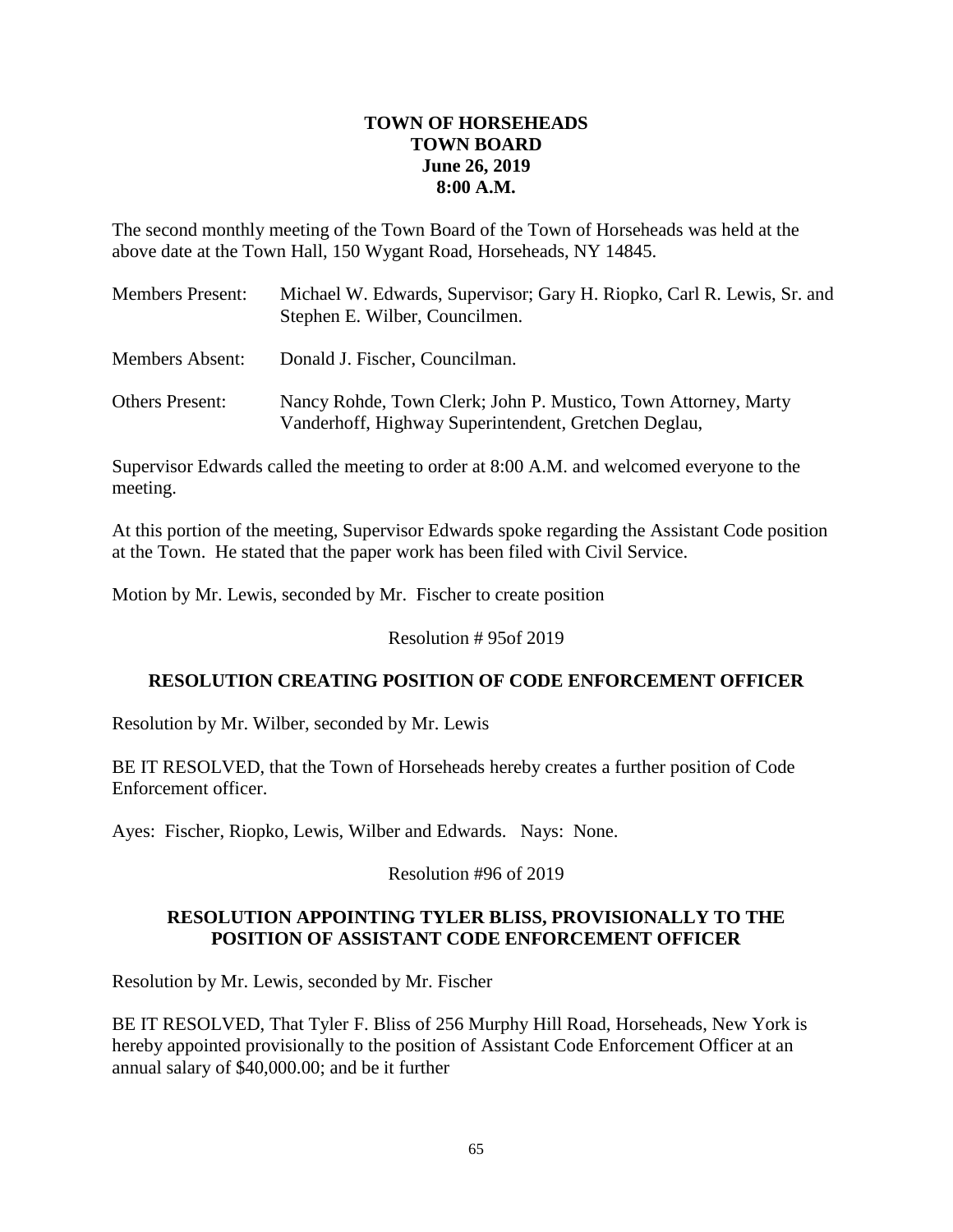## **TOWN OF HORSEHEADS TOWN BOARD June 26, 2019 8:00 A.M.**

The second monthly meeting of the Town Board of the Town of Horseheads was held at the above date at the Town Hall, 150 Wygant Road, Horseheads, NY 14845.

| <b>Members Present:</b> | Michael W. Edwards, Supervisor; Gary H. Riopko, Carl R. Lewis, Sr. and<br>Stephen E. Wilber, Councilmen.               |
|-------------------------|------------------------------------------------------------------------------------------------------------------------|
| <b>Members Absent:</b>  | Donald J. Fischer, Councilman.                                                                                         |
| <b>Others Present:</b>  | Nancy Rohde, Town Clerk; John P. Mustico, Town Attorney, Marty<br>Vanderhoff, Highway Superintendent, Gretchen Deglau, |

Supervisor Edwards called the meeting to order at 8:00 A.M. and welcomed everyone to the meeting.

At this portion of the meeting, Supervisor Edwards spoke regarding the Assistant Code position at the Town. He stated that the paper work has been filed with Civil Service.

Motion by Mr. Lewis, seconded by Mr. Fischer to create position

Resolution # 95of 2019

## **RESOLUTION CREATING POSITION OF CODE ENFORCEMENT OFFICER**

Resolution by Mr. Wilber, seconded by Mr. Lewis

BE IT RESOLVED, that the Town of Horseheads hereby creates a further position of Code Enforcement officer.

Ayes: Fischer, Riopko, Lewis, Wilber and Edwards. Nays: None.

Resolution #96 of 2019

## **RESOLUTION APPOINTING TYLER BLISS, PROVISIONALLY TO THE POSITION OF ASSISTANT CODE ENFORCEMENT OFFICER**

Resolution by Mr. Lewis, seconded by Mr. Fischer

BE IT RESOLVED, That Tyler F. Bliss of 256 Murphy Hill Road, Horseheads, New York is hereby appointed provisionally to the position of Assistant Code Enforcement Officer at an annual salary of \$40,000.00; and be it further